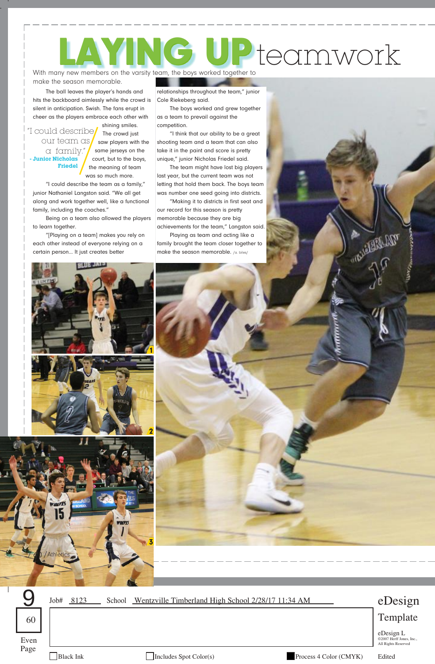## With many new members on the varsity team, the boys worked together to Pteamwork

make the season memorable.

The ball leaves the player's hands and hits the backboard aimlessly while the crowd is silent in anticipation. Swish. The fans erupt in cheer as the players embrace each other with

shining smiles. "I could describe our team as a family." **- Junior Nicholas Friedel**

The crowd just saw players with the same jerseys on the court, but to the boys, the meaning of team was so much more.

"I could describe the team as a family," junior Nathaniel Langston said. "We all get along and work together well, like a functional family, including the coaches."

Being on a team also allowed the players to learn together.

"[Playing on a team] makes you rely on each other instead of everyone relying on a certain person... It just creates better

relationships throughout the team," junior Cole Riekeberg said.

The boys worked and grew together as a team to prevail against the competition.

"I think that our ability to be a great shooting team and a team that can also take it in the paint and score is pretty unique," junior Nicholas Friedel said.

The team might have lost big players last year, but the current team was not letting that hold them back. The boys team was number one seed going into districts.

"Making it to districts in first seat and our record for this season is pretty memorable because they are big achievements for the team," Langston said.

Playing as team and acting like a family brought the team closer together to make the season memorable. /a. biles/





Job# 8123 School Wentzville Timberland High School 2/28/17 11:34 AM

## eDesign Template

eDesign L<br>©2007 Herff Jones, Inc.,<br>All Rights Reserved  $\text{Even}$   $\sum_{\text{2007 Herf lines, Inc.,} \atop \text{All Richts Reserved}}$ 

Page

9

60

Black Ink Includes Spot Color(s) Process 4 Color (CMYK) Edited

A MARIA